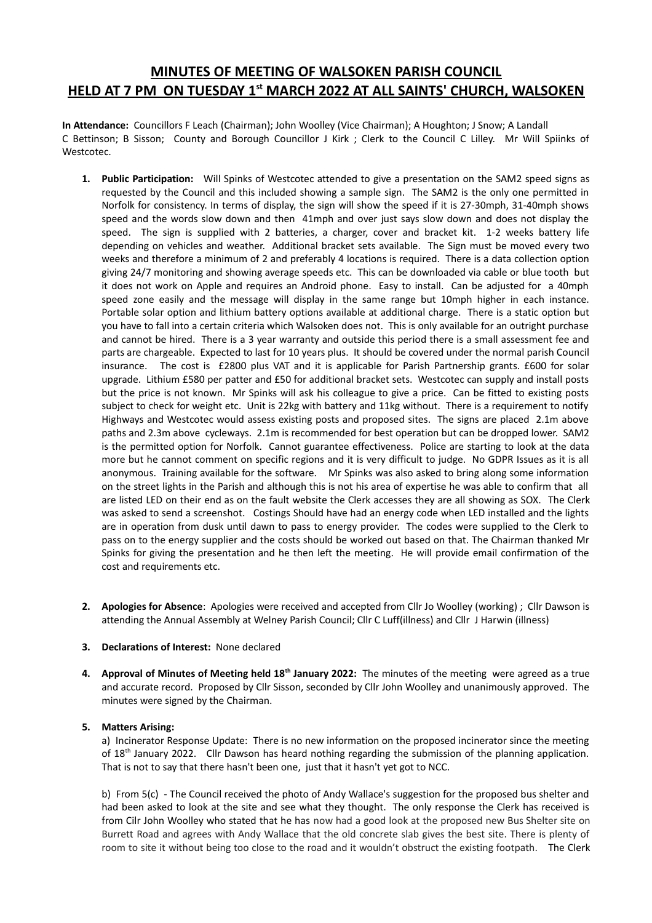# **MINUTES OF MEETING OF WALSOKEN PARISH COUNCIL HELD AT 7 PM ON TUESDAY 1st MARCH 2022 AT ALL SAINTS' CHURCH, WALSOKEN**

**In Attendance:** Councillors F Leach (Chairman); John Woolley (Vice Chairman); A Houghton; J Snow; A Landall C Bettinson; B Sisson; County and Borough Councillor J Kirk ; Clerk to the Council C Lilley. Mr Will Spiinks of Westcotec.

- **1. Public Participation:** Will Spinks of Westcotec attended to give a presentation on the SAM2 speed signs as requested by the Council and this included showing a sample sign. The SAM2 is the only one permitted in Norfolk for consistency. In terms of display, the sign will show the speed if it is 27-30mph, 31-40mph shows speed and the words slow down and then 41mph and over just says slow down and does not display the speed. The sign is supplied with 2 batteries, a charger, cover and bracket kit. 1-2 weeks battery life depending on vehicles and weather. Additional bracket sets available. The Sign must be moved every two weeks and therefore a minimum of 2 and preferably 4 locations is required. There is a data collection option giving 24/7 monitoring and showing average speeds etc. This can be downloaded via cable or blue tooth but it does not work on Apple and requires an Android phone. Easy to install. Can be adjusted for a 40mph speed zone easily and the message will display in the same range but 10mph higher in each instance. Portable solar option and lithium battery options available at additional charge. There is a static option but you have to fall into a certain criteria which Walsoken does not. This is only available for an outright purchase and cannot be hired. There is a 3 year warranty and outside this period there is a small assessment fee and parts are chargeable. Expected to last for 10 years plus. It should be covered under the normal parish Council insurance. The cost is £2800 plus VAT and it is applicable for Parish Partnership grants. £600 for solar upgrade. Lithium £580 per patter and £50 for additional bracket sets. Westcotec can supply and install posts but the price is not known. Mr Spinks will ask his colleague to give a price. Can be fitted to existing posts subject to check for weight etc. Unit is 22kg with battery and 11kg without. There is a requirement to notify Highways and Westcotec would assess existing posts and proposed sites. The signs are placed 2.1m above paths and 2.3m above cycleways. 2.1m is recommended for best operation but can be dropped lower. SAM2 is the permitted option for Norfolk. Cannot guarantee effectiveness. Police are starting to look at the data more but he cannot comment on specific regions and it is very difficult to judge. No GDPR Issues as it is all anonymous. Training available for the software. Mr Spinks was also asked to bring along some information on the street lights in the Parish and although this is not his area of expertise he was able to confirm that all are listed LED on their end as on the fault website the Clerk accesses they are all showing as SOX. The Clerk was asked to send a screenshot. Costings Should have had an energy code when LED installed and the lights are in operation from dusk until dawn to pass to energy provider. The codes were supplied to the Clerk to pass on to the energy supplier and the costs should be worked out based on that. The Chairman thanked Mr Spinks for giving the presentation and he then left the meeting. He will provide email confirmation of the cost and requirements etc.
- **2. Apologies for Absence**: Apologies were received and accepted from Cllr Jo Woolley (working) ; Cllr Dawson is attending the Annual Assembly at Welney Parish Council; Cllr C Luff(illness) and Cllr J Harwin (illness)
- **3. Declarations of Interest:** None declared
- **4. Approval of Minutes of Meeting held 18th January 2022:** The minutes of the meeting were agreed as a true and accurate record. Proposed by Cllr Sisson, seconded by Cllr John Woolley and unanimously approved. The minutes were signed by the Chairman.

## **5. Matters Arising:**

a) Incinerator Response Update: There is no new information on the proposed incinerator since the meeting of 18th January 2022. Cllr Dawson has heard nothing regarding the submission of the planning application. That is not to say that there hasn't been one, just that it hasn't yet got to NCC.

b) From 5(c) - The Council received the photo of Andy Wallace's suggestion for the proposed bus shelter and had been asked to look at the site and see what they thought. The only response the Clerk has received is from Cilr John Woolley who stated that he has now had a good look at the proposed new Bus Shelter site on Burrett Road and agrees with Andy Wallace that the old concrete slab gives the best site. There is plenty of room to site it without being too close to the road and it wouldn't obstruct the existing footpath. The Clerk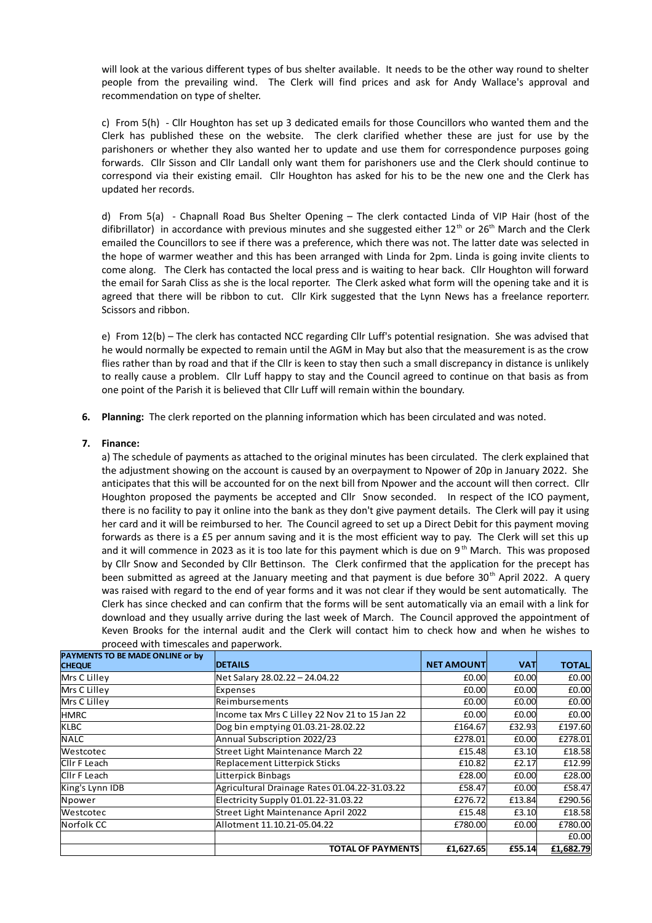will look at the various different types of bus shelter available. It needs to be the other way round to shelter people from the prevailing wind. The Clerk will find prices and ask for Andy Wallace's approval and recommendation on type of shelter.

c) From 5(h) - Cllr Houghton has set up 3 dedicated emails for those Councillors who wanted them and the Clerk has published these on the website. The clerk clarified whether these are just for use by the parishoners or whether they also wanted her to update and use them for correspondence purposes going forwards. Cllr Sisson and Cllr Landall only want them for parishoners use and the Clerk should continue to correspond via their existing email. Cllr Houghton has asked for his to be the new one and the Clerk has updated her records.

d) From 5(a) - Chapnall Road Bus Shelter Opening – The clerk contacted Linda of VIP Hair (host of the difibrillator) in accordance with previous minutes and she suggested either 12<sup>th</sup> or 26<sup>th</sup> March and the Clerk emailed the Councillors to see if there was a preference, which there was not. The latter date was selected in the hope of warmer weather and this has been arranged with Linda for 2pm. Linda is going invite clients to come along. The Clerk has contacted the local press and is waiting to hear back. Cllr Houghton will forward the email for Sarah Cliss as she is the local reporter. The Clerk asked what form will the opening take and it is agreed that there will be ribbon to cut. Cllr Kirk suggested that the Lynn News has a freelance reporterr. Scissors and ribbon.

e) From 12(b) – The clerk has contacted NCC regarding Cllr Luff's potential resignation. She was advised that he would normally be expected to remain until the AGM in May but also that the measurement is as the crow flies rather than by road and that if the Cllr is keen to stay then such a small discrepancy in distance is unlikely to really cause a problem. Cllr Luff happy to stay and the Council agreed to continue on that basis as from one point of the Parish it is believed that Cllr Luff will remain within the boundary.

**6. Planning:** The clerk reported on the planning information which has been circulated and was noted.

# **7. Finance:**

a) The schedule of payments as attached to the original minutes has been circulated. The clerk explained that the adjustment showing on the account is caused by an overpayment to Npower of 20p in January 2022. She anticipates that this will be accounted for on the next bill from Npower and the account will then correct. Cllr Houghton proposed the payments be accepted and Cllr Snow seconded. In respect of the ICO payment, there is no facility to pay it online into the bank as they don't give payment details. The Clerk will pay it using her card and it will be reimbursed to her. The Council agreed to set up a Direct Debit for this payment moving forwards as there is a £5 per annum saving and it is the most efficient way to pay. The Clerk will set this up and it will commence in 2023 as it is too late for this payment which is due on 9<sup>th</sup> March. This was proposed by Cllr Snow and Seconded by Cllr Bettinson. The Clerk confirmed that the application for the precept has been submitted as agreed at the January meeting and that payment is due before 30<sup>th</sup> April 2022. A query was raised with regard to the end of year forms and it was not clear if they would be sent automatically. The Clerk has since checked and can confirm that the forms will be sent automatically via an email with a link for download and they usually arrive during the last week of March. The Council approved the appointment of Keven Brooks for the internal audit and the Clerk will contact him to check how and when he wishes to proceed with timescales and paperwork.

| PAYMENTS TO BE MADE ONLINE or by<br><b>CHEQUE</b> | <b>DETAILS</b>                                 | <b>NET AMOUNT</b> | VAT    | <b>TOTAL</b> |
|---------------------------------------------------|------------------------------------------------|-------------------|--------|--------------|
| Mrs C Lilley                                      | Net Salary 28.02.22 - 24.04.22                 | £0.00             | £0.00  | £0.00        |
| Mrs C Lilley                                      | Expenses                                       | £0.00             | £0.00  | £0.00        |
| Mrs C Lilley                                      | Reimbursements                                 | £0.00             | £0.00  | £0.00        |
| <b>HMRC</b>                                       | Income tax Mrs C Lilley 22 Nov 21 to 15 Jan 22 | £0.00             | £0.00  | £0.00        |
| <b>KLBC</b>                                       | Dog bin emptying 01.03.21-28.02.22             | £164.67           | £32.93 | £197.60      |
| <b>NALC</b>                                       | Annual Subscription 2022/23                    | £278.01           | £0.00  | £278.01      |
| Westcotec                                         | Street Light Maintenance March 22              | £15.48            | £3.10  | £18.58       |
| CIIr F Leach                                      | Replacement Litterpick Sticks                  | £10.82            | £2.17  | £12.99       |
| CIIr F Leach                                      | Litterpick Binbags                             | £28.00            | £0.00  | £28.00       |
| King's Lynn IDB                                   | Agricultural Drainage Rates 01.04.22-31.03.22  | £58.47            | £0.00  | £58.47       |
| Npower                                            | Electricity Supply 01.01.22-31.03.22           | £276.72           | £13.84 | £290.56      |
| Westcotec                                         | Street Light Maintenance April 2022            | £15.48            | £3.10  | £18.58       |
| Norfolk CC                                        | Allotment 11.10.21-05.04.22                    | £780.00           | £0.00  | £780.00      |
|                                                   |                                                |                   |        | £0.00        |
|                                                   | <b>TOTAL OF PAYMENTS</b>                       | £1,627.65         | £55.14 | £1,682.79    |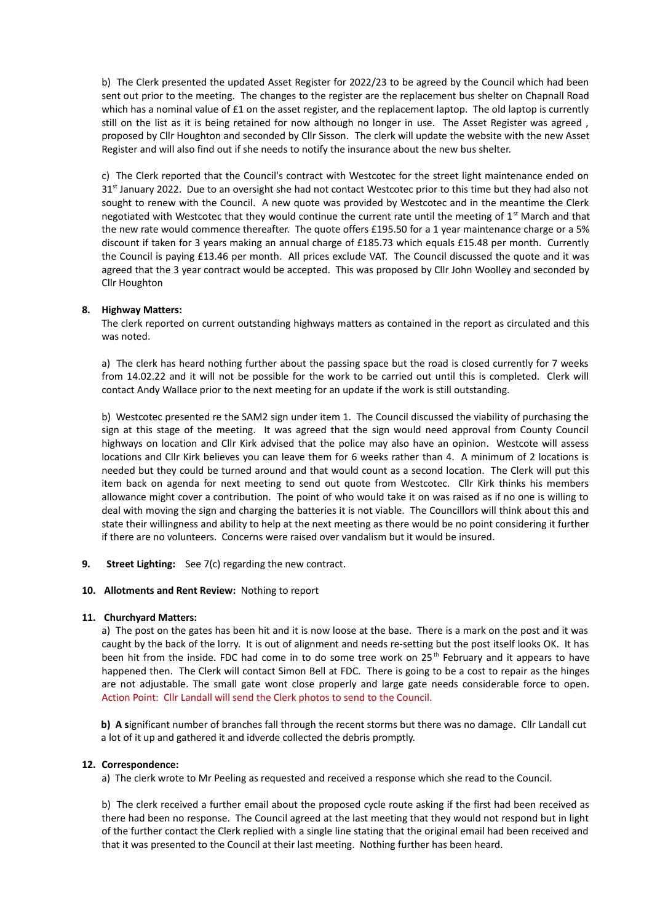b) The Clerk presented the updated Asset Register for 2022/23 to be agreed by the Council which had been sent out prior to the meeting. The changes to the register are the replacement bus shelter on Chapnall Road which has a nominal value of £1 on the asset register, and the replacement laptop. The old laptop is currently still on the list as it is being retained for now although no longer in use. The Asset Register was agreed , proposed by Cllr Houghton and seconded by Cllr Sisson. The clerk will update the website with the new Asset Register and will also find out if she needs to notify the insurance about the new bus shelter.

c) The Clerk reported that the Council's contract with Westcotec for the street light maintenance ended on  $31<sup>st</sup>$  January 2022. Due to an oversight she had not contact Westcotec prior to this time but they had also not sought to renew with the Council. A new quote was provided by Westcotec and in the meantime the Clerk negotiated with Westcotec that they would continue the current rate until the meeting of  $1<sup>st</sup>$  March and that the new rate would commence thereafter. The quote offers £195.50 for a 1 year maintenance charge or a 5% discount if taken for 3 years making an annual charge of £185.73 which equals £15.48 per month. Currently the Council is paying £13.46 per month. All prices exclude VAT. The Council discussed the quote and it was agreed that the 3 year contract would be accepted. This was proposed by Cllr John Woolley and seconded by Cllr Houghton

## **8. Highway Matters:**

The clerk reported on current outstanding highways matters as contained in the report as circulated and this was noted.

a) The clerk has heard nothing further about the passing space but the road is closed currently for 7 weeks from 14.02.22 and it will not be possible for the work to be carried out until this is completed. Clerk will contact Andy Wallace prior to the next meeting for an update if the work is still outstanding.

b) Westcotec presented re the SAM2 sign under item 1. The Council discussed the viability of purchasing the sign at this stage of the meeting. It was agreed that the sign would need approval from County Council highways on location and Cllr Kirk advised that the police may also have an opinion. Westcote will assess locations and Cllr Kirk believes you can leave them for 6 weeks rather than 4. A minimum of 2 locations is needed but they could be turned around and that would count as a second location. The Clerk will put this item back on agenda for next meeting to send out quote from Westcotec. Cllr Kirk thinks his members allowance might cover a contribution. The point of who would take it on was raised as if no one is willing to deal with moving the sign and charging the batteries it is not viable. The Councillors will think about this and state their willingness and ability to help at the next meeting as there would be no point considering it further if there are no volunteers. Concerns were raised over vandalism but it would be insured.

**9. Street Lighting:** See 7(c) regarding the new contract.

#### **10. Allotments and Rent Review:** Nothing to report

#### **11. Churchyard Matters:**

a) The post on the gates has been hit and it is now loose at the base. There is a mark on the post and it was caught by the back of the lorry. It is out of alignment and needs re-setting but the post itself looks OK. It has been hit from the inside. FDC had come in to do some tree work on 25<sup>th</sup> February and it appears to have happened then. The Clerk will contact Simon Bell at FDC. There is going to be a cost to repair as the hinges are not adjustable. The small gate wont close properly and large gate needs considerable force to open. Action Point: Cllr Landall will send the Clerk photos to send to the Council.

**b) A s**ignificant number of branches fall through the recent storms but there was no damage. Cllr Landall cut a lot of it up and gathered it and idverde collected the debris promptly.

#### **12. Correspondence:**

a) The clerk wrote to Mr Peeling as requested and received a response which she read to the Council.

b) The clerk received a further email about the proposed cycle route asking if the first had been received as there had been no response. The Council agreed at the last meeting that they would not respond but in light of the further contact the Clerk replied with a single line stating that the original email had been received and that it was presented to the Council at their last meeting. Nothing further has been heard.